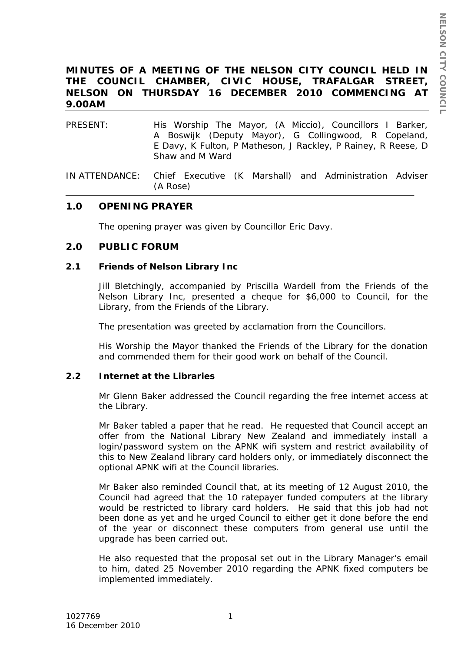# **MINUTES OF A MEETING OF THE NELSON CITY COUNCIL HELD IN THE COUNCIL CHAMBER, CIVIC HOUSE, TRAFALGAR STREET, NELSON ON THURSDAY 16 DECEMBER 2010 COMMENCING AT 9.00AM**

- PRESENT: His Worship The Mayor, (A Miccio), Councillors I Barker, A Boswijk (Deputy Mayor), G Collingwood, R Copeland, E Davy, K Fulton, P Matheson, J Rackley, P Rainey, R Reese, D Shaw and M Ward
- IN ATTENDANCE: Chief Executive (K Marshall) and Administration Adviser (A Rose)

# **1.0 OPENING PRAYER**

The opening prayer was given by Councillor Eric Davy.

## **2.0 PUBLIC FORUM**

#### **2.1 Friends of Nelson Library Inc**

Jill Bletchingly, accompanied by Priscilla Wardell from the Friends of the Nelson Library Inc, presented a cheque for \$6,000 to Council, for the Library, from the Friends of the Library.

The presentation was greeted by acclamation from the Councillors.

His Worship the Mayor thanked the Friends of the Library for the donation and commended them for their good work on behalf of the Council.

## **2.2 Internet at the Libraries**

Mr Glenn Baker addressed the Council regarding the free internet access at the Library.

Mr Baker tabled a paper that he read. He requested that Council accept an offer from the National Library New Zealand and immediately install a login/password system on the APNK wifi system and restrict availability of this to New Zealand library card holders only, or immediately disconnect the optional APNK wifi at the Council libraries.

Mr Baker also reminded Council that, at its meeting of 12 August 2010, the Council had agreed that the 10 ratepayer funded computers at the library would be restricted to library card holders. He said that this job had not been done as yet and he urged Council to either get it done before the end of the year or disconnect these computers from general use until the upgrade has been carried out.

He also requested that the proposal set out in the Library Manager's email to him, dated 25 November 2010 regarding the APNK fixed computers be implemented immediately.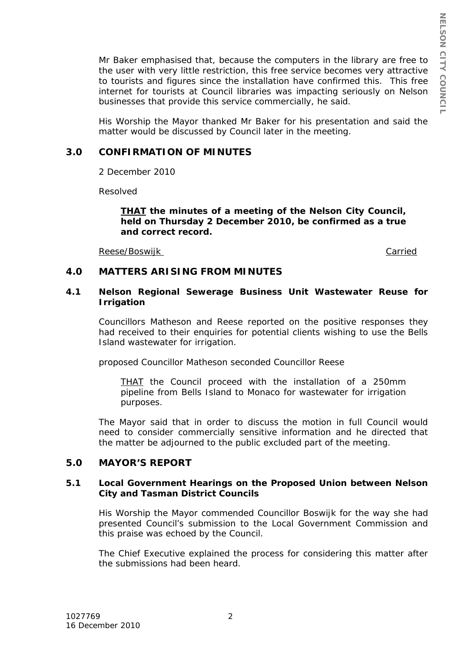Mr Baker emphasised that, because the computers in the library are free to the user with very little restriction, this free service becomes very attractive to tourists and figures since the installation have confirmed this. This free internet for tourists at Council libraries was impacting seriously on Nelson businesses that provide this service commercially, he said.

His Worship the Mayor thanked Mr Baker for his presentation and said the matter would be discussed by Council later in the meeting.

## **3.0 CONFIRMATION OF MINUTES**

2 December 2010

Resolved

#### *THAT the minutes of a meeting of the Nelson City Council, held on Thursday 2 December 2010, be confirmed as a true and correct record.*

Reese/Boswijk

Carried

## **4.0 MATTERS ARISING FROM MINUTES**

#### **4.1 Nelson Regional Sewerage Business Unit Wastewater Reuse for Irrigation**

Councillors Matheson and Reese reported on the positive responses they had received to their enquiries for potential clients wishing to use the Bells Island wastewater for irrigation.

proposed Councillor Matheson seconded Councillor Reese

*THAT the Council proceed with the installation of a 250mm pipeline from Bells Island to Monaco for wastewater for irrigation purposes.*

The Mayor said that in order to discuss the motion in full Council would need to consider commercially sensitive information and he directed that the matter be adjourned to the public excluded part of the meeting.

## **5.0 MAYOR'S REPORT**

#### **5.1 Local Government Hearings on the Proposed Union between Nelson City and Tasman District Councils**

His Worship the Mayor commended Councillor Boswijk for the way she had presented Council's submission to the Local Government Commission and this praise was echoed by the Council.

The Chief Executive explained the process for considering this matter after the submissions had been heard.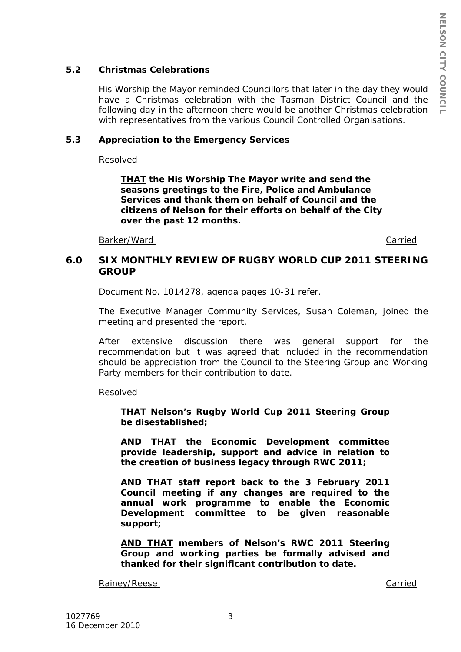## **5.2 Christmas Celebrations**

His Worship the Mayor reminded Councillors that later in the day they would have a Christmas celebration with the Tasman District Council and the following day in the afternoon there would be another Christmas celebration with representatives from the various Council Controlled Organisations.

#### **5.3 Appreciation to the Emergency Services**

Resolved

*THAT the His Worship The Mayor write and send the seasons greetings to the Fire, Police and Ambulance Services and thank them on behalf of Council and the citizens of Nelson for their efforts on behalf of the City over the past 12 months.*

Barker/Ward

**Carried** 

# **6.0 SIX MONTHLY REVIEW OF RUGBY WORLD CUP 2011 STEERING GROUP**

Document No. 1014278, agenda pages 10-31 refer.

The Executive Manager Community Services, Susan Coleman, joined the meeting and presented the report.

After extensive discussion there was general support for the recommendation but it was agreed that included in the recommendation should be appreciation from the Council to the Steering Group and Working Party members for their contribution to date.

Resolved

*THAT Nelson's Rugby World Cup 2011 Steering Group be disestablished;*

*AND THAT the Economic Development committee provide leadership, support and advice in relation to the creation of business legacy through RWC 2011;*

*AND THAT staff report back to the 3 February 2011 Council meeting if any changes are required to the annual work programme to enable the Economic Development committee to be given reasonable support;*

*AND THAT members of Nelson's RWC 2011 Steering Group and working parties be formally advised and thanked for their significant contribution to date.*

Rainey/Reese Carried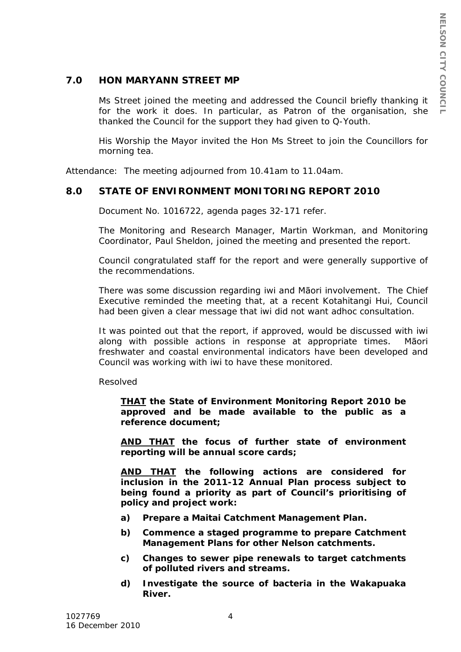# **7.0 HON MARYANN STREET MP**

Ms Street joined the meeting and addressed the Council briefly thanking it for the work it does. In particular, as Patron of the organisation, she thanked the Council for the support they had given to Q-Youth.

His Worship the Mayor invited the Hon Ms Street to join the Councillors for morning tea.

Attendance: The meeting adjourned from 10.41am to 11.04am.

## **8.0 STATE OF ENVIRONMENT MONITORING REPORT 2010**

Document No. 1016722, agenda pages 32-171 refer.

The Monitoring and Research Manager, Martin Workman, and Monitoring Coordinator, Paul Sheldon, joined the meeting and presented the report.

Council congratulated staff for the report and were generally supportive of the recommendations.

There was some discussion regarding iwi and Māori involvement. The Chief Executive reminded the meeting that, at a recent Kotahitangi Hui, Council had been given a clear message that iwi did not want adhoc consultation.

It was pointed out that the report, if approved, would be discussed with iwi along with possible actions in response at appropriate times. Māori freshwater and coastal environmental indicators have been developed and Council was working with iwi to have these monitored.

Resolved

*THAT the State of Environment Monitoring Report 2010 be approved and be made available to the public as a reference document;*

*AND THAT the focus of further state of environment reporting will be annual score cards;*

*AND THAT the following actions are considered for inclusion in the 2011-12 Annual Plan process subject to being found a priority as part of Council's prioritising of policy and project work:*

- *a) Prepare a Maitai Catchment Management Plan.*
- *b) Commence a staged programme to prepare Catchment Management Plans for other Nelson catchments.*
- *c) Changes to sewer pipe renewals to target catchments of polluted rivers and streams.*
- *d) Investigate the source of bacteria in the Wakapuaka River.*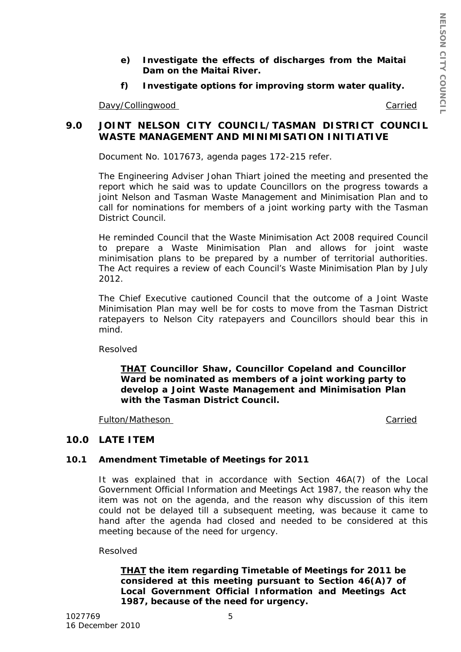- *e) Investigate the effects of discharges from the Maitai Dam on the Maitai River.*
- *f) Investigate options for improving storm water quality.*

Davy/Collingwood

Carried

# **9.0 JOINT NELSON CITY COUNCIL/TASMAN DISTRICT COUNCIL WASTE MANAGEMENT AND MINIMISATION INITIATIVE**

Document No. 1017673, agenda pages 172-215 refer.

The Engineering Adviser Johan Thiart joined the meeting and presented the report which he said was to update Councillors on the progress towards a joint Nelson and Tasman Waste Management and Minimisation Plan and to call for nominations for members of a joint working party with the Tasman District Council.

He reminded Council that the Waste Minimisation Act 2008 required Council to prepare a Waste Minimisation Plan and allows for joint waste minimisation plans to be prepared by a number of territorial authorities. The Act requires a review of each Council's Waste Minimisation Plan by July 2012.

The Chief Executive cautioned Council that the outcome of a Joint Waste Minimisation Plan may well be for costs to move from the Tasman District ratepayers to Nelson City ratepayers and Councillors should bear this in mind.

Resolved

*THAT Councillor Shaw, Councillor Copeland and Councillor Ward be nominated as members of a joint working party to develop a Joint Waste Management and Minimisation Plan with the Tasman District Council.*

Fulton/Matheson

Carried

# **10.0 LATE ITEM**

## **10.1 Amendment Timetable of Meetings for 2011**

It was explained that in accordance with Section 46A(7) of the Local Government Official Information and Meetings Act 1987, the reason why the item was not on the agenda, and the reason why discussion of this item could not be delayed till a subsequent meeting, was because it came to hand after the agenda had closed and needed to be considered at this meeting because of the need for urgency.

Resolved

*THAT the item regarding Timetable of Meetings for 2011 be considered at this meeting pursuant to Section 46(A)7 of Local Government Official Information and Meetings Act 1987, because of the need for urgency.*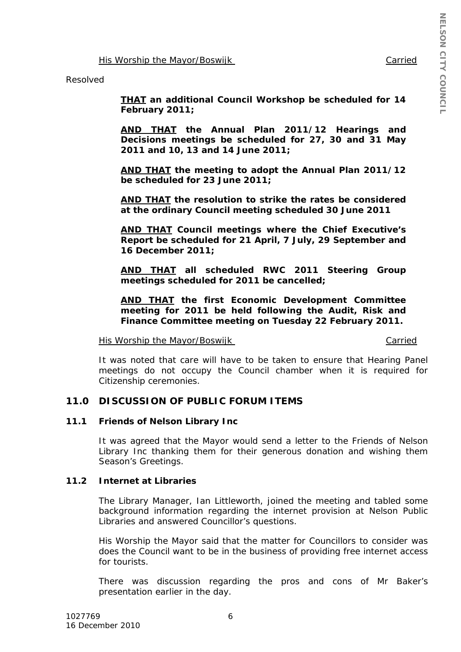Carried

His Worship the Mayor/Boswijk

Resolved

*THAT an additional Council Workshop be scheduled for 14 February 2011;*

*AND THAT the Annual Plan 2011/12 Hearings and Decisions meetings be scheduled for 27, 30 and 31 May 2011 and 10, 13 and 14 June 2011;*

*AND THAT the meeting to adopt the Annual Plan 2011/12 be scheduled for 23 June 2011;*

*AND THAT the resolution to strike the rates be considered at the ordinary Council meeting scheduled 30 June 2011*

*AND THAT Council meetings where the Chief Executive's Report be scheduled for 21 April, 7 July, 29 September and 16 December 2011;*

*AND THAT all scheduled RWC 2011 Steering Group meetings scheduled for 2011 be cancelled;*

*AND THAT the first Economic Development Committee meeting for 2011 be held following the Audit, Risk and Finance Committee meeting on Tuesday 22 February 2011.*

His Worship the Mayor/Boswijk

Carried

It was noted that care will have to be taken to ensure that Hearing Panel meetings do not occupy the Council chamber when it is required for Citizenship ceremonies.

## **11.0 DISCUSSION OF PUBLIC FORUM ITEMS**

#### **11.1 Friends of Nelson Library Inc**

It was agreed that the Mayor would send a letter to the Friends of Nelson Library Inc thanking them for their generous donation and wishing them Season's Greetings.

## **11.2 Internet at Libraries**

The Library Manager, Ian Littleworth, joined the meeting and tabled some background information regarding the internet provision at Nelson Public Libraries and answered Councillor's questions.

His Worship the Mayor said that the matter for Councillors to consider was does the Council want to be in the business of providing free internet access for tourists.

There was discussion regarding the pros and cons of Mr Baker's presentation earlier in the day.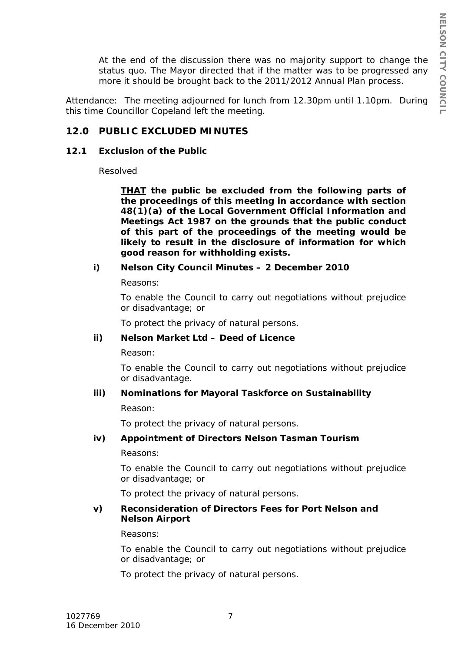At the end of the discussion there was no majority support to change the status quo. The Mayor directed that if the matter was to be progressed any more it should be brought back to the 2011/2012 Annual Plan process.

Attendance: The meeting adjourned for lunch from 12.30pm until 1.10pm. During this time Councillor Copeland left the meeting.

# **12.0 PUBLIC EXCLUDED MINUTES**

#### **12.1 Exclusion of the Public**

Resolved

*THAT the public be excluded from the following parts of the proceedings of this meeting in accordance with section 48(1)(a) of the Local Government Official Information and Meetings Act 1987 on the grounds that the public conduct of this part of the proceedings of the meeting would be likely to result in the disclosure of information for which good reason for withholding exists.*

# *i) Nelson City Council Minutes – 2 December 2010*

*Reasons:*

*To enable the Council to carry out negotiations without prejudice or disadvantage; or*

*To protect the privacy of natural persons.*

## *ii) Nelson Market Ltd – Deed of Licence*

*Reason:*

*To enable the Council to carry out negotiations without prejudice or disadvantage.*

## *iii) Nominations for Mayoral Taskforce on Sustainability*

*Reason:*

*To protect the privacy of natural persons.*

## *iv) Appointment of Directors Nelson Tasman Tourism*

*Reasons:*

*To enable the Council to carry out negotiations without prejudice or disadvantage; or*

*To protect the privacy of natural persons.*

#### *v) Reconsideration of Directors Fees for Port Nelson and Nelson Airport*

#### *Reasons:*

*To enable the Council to carry out negotiations without prejudice or disadvantage; or*

*To protect the privacy of natural persons.*